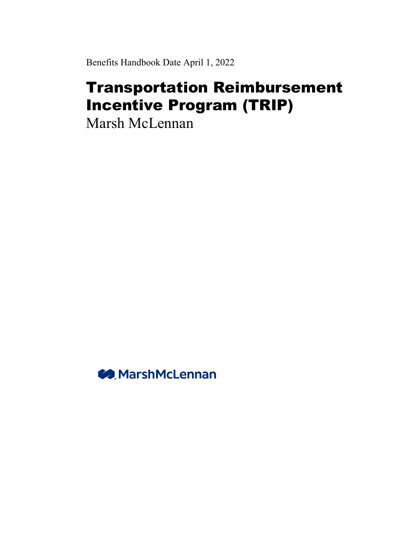Benefits Handbook Date April 1, 2022

# Transportation Reimbursement Incentive Program (TRIP)

Marsh McLennan

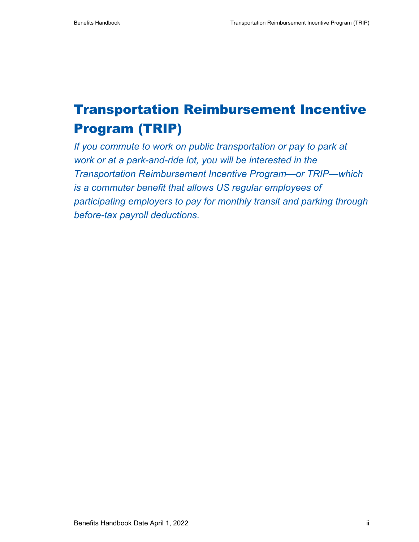# Transportation Reimbursement Incentive Program (TRIP)

*If you commute to work on public transportation or pay to park at work or at a park-and-ride lot, you will be interested in the Transportation Reimbursement Incentive Program—or TRIP—which is a commuter benefit that allows US regular employees of participating employers to pay for monthly transit and parking through before-tax payroll deductions.*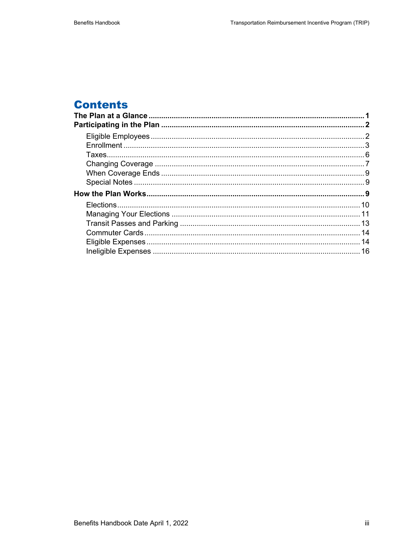# **Contents**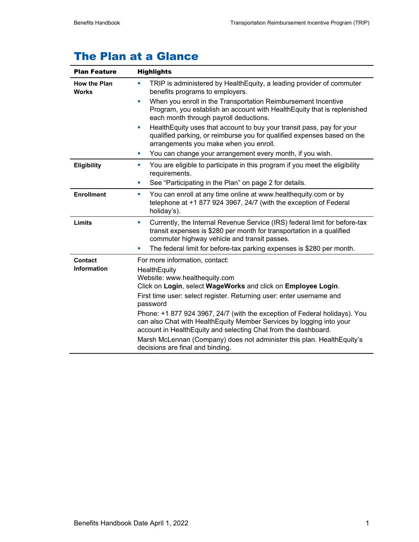# The Plan at a Glance

| <b>Plan Feature</b>                  | <b>Highlights</b>                                                                                                                                                                                                                                                                                                                                                                                                                                                                                                                                                          |  |
|--------------------------------------|----------------------------------------------------------------------------------------------------------------------------------------------------------------------------------------------------------------------------------------------------------------------------------------------------------------------------------------------------------------------------------------------------------------------------------------------------------------------------------------------------------------------------------------------------------------------------|--|
| <b>How the Plan</b><br><b>Works</b>  | TRIP is administered by Health Equity, a leading provider of commuter<br>ш<br>benefits programs to employers.                                                                                                                                                                                                                                                                                                                                                                                                                                                              |  |
|                                      | When you enroll in the Transportation Reimbursement Incentive<br>a.<br>Program, you establish an account with Health Equity that is replenished<br>each month through payroll deductions.                                                                                                                                                                                                                                                                                                                                                                                  |  |
|                                      | Health Equity uses that account to buy your transit pass, pay for your<br>ш<br>qualified parking, or reimburse you for qualified expenses based on the<br>arrangements you make when you enroll.                                                                                                                                                                                                                                                                                                                                                                           |  |
|                                      | You can change your arrangement every month, if you wish.<br>ш                                                                                                                                                                                                                                                                                                                                                                                                                                                                                                             |  |
| <b>Eligibility</b>                   | You are eligible to participate in this program if you meet the eligibility<br>ш<br>requirements.                                                                                                                                                                                                                                                                                                                                                                                                                                                                          |  |
|                                      | See "Participating in the Plan" on page 2 for details.<br>u.                                                                                                                                                                                                                                                                                                                                                                                                                                                                                                               |  |
| <b>Enrollment</b>                    | You can enroll at any time online at www.healthequity.com or by<br>a.<br>telephone at +1 877 924 3967, 24/7 (with the exception of Federal<br>holiday's).                                                                                                                                                                                                                                                                                                                                                                                                                  |  |
| Limits                               | Currently, the Internal Revenue Service (IRS) federal limit for before-tax<br>ш<br>transit expenses is \$280 per month for transportation in a qualified<br>commuter highway vehicle and transit passes.                                                                                                                                                                                                                                                                                                                                                                   |  |
|                                      | The federal limit for before-tax parking expenses is \$280 per month.<br>ш                                                                                                                                                                                                                                                                                                                                                                                                                                                                                                 |  |
| <b>Contact</b><br><b>Information</b> | For more information, contact:<br>HealthEquity<br>Website: www.healthequity.com<br>Click on Login, select WageWorks and click on Employee Login.<br>First time user: select register. Returning user: enter username and<br>password<br>Phone: +1 877 924 3967, 24/7 (with the exception of Federal holidays). You<br>can also Chat with HealthEquity Member Services by logging into your<br>account in HealthEquity and selecting Chat from the dashboard.<br>Marsh McLennan (Company) does not administer this plan. HealthEquity's<br>decisions are final and binding. |  |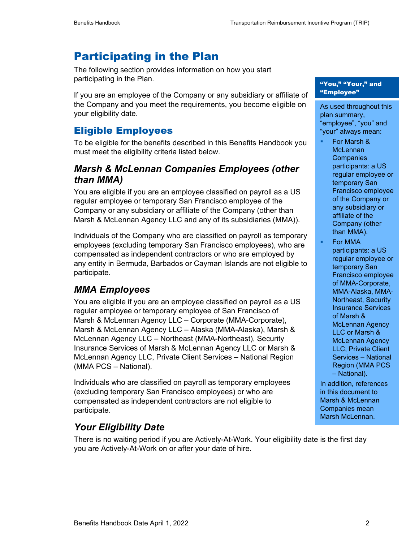## Participating in the Plan

The following section provides information on how you start participating in the Plan.

If you are an employee of the Company or any subsidiary or affiliate of the Company and you meet the requirements, you become eligible on your eligibility date.

## Eligible Employees

To be eligible for the benefits described in this Benefits Handbook you must meet the eligibility criteria listed below.

## *Marsh & McLennan Companies Employees (other than MMA)*

You are eligible if you are an employee classified on payroll as a US regular employee or temporary San Francisco employee of the Company or any subsidiary or affiliate of the Company (other than Marsh & McLennan Agency LLC and any of its subsidiaries (MMA)).

Individuals of the Company who are classified on payroll as temporary employees (excluding temporary San Francisco employees), who are compensated as independent contractors or who are employed by any entity in Bermuda, Barbados or Cayman Islands are not eligible to participate.

## *MMA Employees*

You are eligible if you are an employee classified on payroll as a US regular employee or temporary employee of San Francisco of Marsh & McLennan Agency LLC – Corporate (MMA-Corporate), Marsh & McLennan Agency LLC – Alaska (MMA-Alaska), Marsh & McLennan Agency LLC – Northeast (MMA-Northeast), Security Insurance Services of Marsh & McLennan Agency LLC or Marsh & McLennan Agency LLC, Private Client Services – National Region (MMA PCS – National).

Individuals who are classified on payroll as temporary employees (excluding temporary San Francisco employees) or who are compensated as independent contractors are not eligible to participate.

## *Your Eligibility Date*

There is no waiting period if you are Actively-At-Work. Your eligibility date is the first day you are Actively-At-Work on or after your date of hire.

#### "You," "Your," and "Employee"

As used throughout this plan summary, "employee", "you" and "your" always mean:

- For Marsh & **McLennan Companies** participants: a US regular employee or temporary San Francisco employee of the Company or any subsidiary or affiliate of the Company (other than MMA).
- For MMA participants: a US regular employee or temporary San Francisco employee of MMA-Corporate, MMA-Alaska, MMA-Northeast, Security Insurance Services of Marsh & McLennan Agency LLC or Marsh & McLennan Agency LLC, Private Client Services – National Region (MMA PCS – National).

In addition, references in this document to Marsh & McLennan Companies mean Marsh McLennan.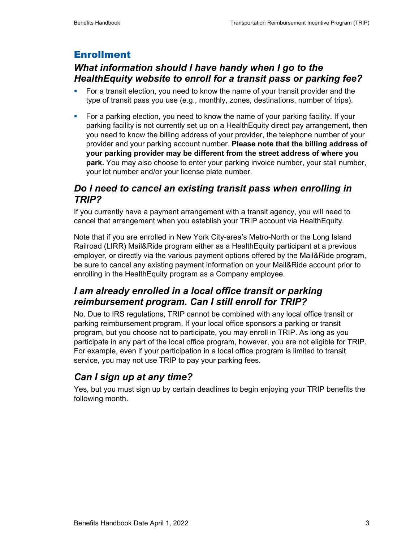## Enrollment

## *What information should I have handy when I go to the HealthEquity website to enroll for a transit pass or parking fee?*

- For a transit election, you need to know the name of your transit provider and the type of transit pass you use (e.g., monthly, zones, destinations, number of trips).
- For a parking election, you need to know the name of your parking facility. If your parking facility is not currently set up on a HealthEquity direct pay arrangement, then you need to know the billing address of your provider, the telephone number of your provider and your parking account number. **Please note that the billing address of your parking provider may be different from the street address of where you park.** You may also choose to enter your parking invoice number, your stall number, your lot number and/or your license plate number.

## *Do I need to cancel an existing transit pass when enrolling in TRIP?*

If you currently have a payment arrangement with a transit agency, you will need to cancel that arrangement when you establish your TRIP account via HealthEquity.

Note that if you are enrolled in New York City-area's Metro-North or the Long Island Railroad (LIRR) Mail&Ride program either as a HealthEquity participant at a previous employer, or directly via the various payment options offered by the Mail&Ride program, be sure to cancel any existing payment information on your Mail&Ride account prior to enrolling in the HealthEquity program as a Company employee.

## *I am already enrolled in a local office transit or parking reimbursement program. Can I still enroll for TRIP?*

No. Due to IRS regulations, TRIP cannot be combined with any local office transit or parking reimbursement program. If your local office sponsors a parking or transit program, but you choose not to participate, you may enroll in TRIP. As long as you participate in any part of the local office program, however, you are not eligible for TRIP. For example, even if your participation in a local office program is limited to transit service, you may not use TRIP to pay your parking fees.

## *Can I sign up at any time?*

Yes, but you must sign up by certain deadlines to begin enjoying your TRIP benefits the following month.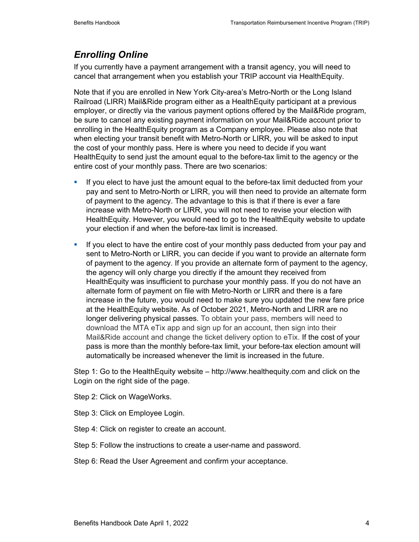## *Enrolling Online*

If you currently have a payment arrangement with a transit agency, you will need to cancel that arrangement when you establish your TRIP account via HealthEquity.

Note that if you are enrolled in New York City-area's Metro-North or the Long Island Railroad (LIRR) Mail&Ride program either as a HealthEquity participant at a previous employer, or directly via the various payment options offered by the Mail&Ride program, be sure to cancel any existing payment information on your Mail&Ride account prior to enrolling in the HealthEquity program as a Company employee. Please also note that when electing your transit benefit with Metro-North or LIRR, you will be asked to input the cost of your monthly pass. Here is where you need to decide if you want HealthEquity to send just the amount equal to the before-tax limit to the agency or the entire cost of your monthly pass. There are two scenarios:

- If you elect to have just the amount equal to the before-tax limit deducted from your pay and sent to Metro-North or LIRR, you will then need to provide an alternate form of payment to the agency. The advantage to this is that if there is ever a fare increase with Metro-North or LIRR, you will not need to revise your election with HealthEquity. However, you would need to go to the HealthEquity website to update your election if and when the before-tax limit is increased.
- If you elect to have the entire cost of your monthly pass deducted from your pay and sent to Metro-North or LIRR, you can decide if you want to provide an alternate form of payment to the agency. If you provide an alternate form of payment to the agency, the agency will only charge you directly if the amount they received from HealthEquity was insufficient to purchase your monthly pass. If you do not have an alternate form of payment on file with Metro-North or LIRR and there is a fare increase in the future, you would need to make sure you updated the new fare price at the HealthEquity website. As of October 2021, Metro-North and LIRR are no longer delivering physical passes. To obtain your pass, members will need to download the MTA eTix app and sign up for an account, then sign into their Mail&Ride account and change the ticket delivery option to eTix. If the cost of your pass is more than the monthly before-tax limit, your before-tax election amount will automatically be increased whenever the limit is increased in the future.

Step 1: Go to the HealthEquity website – http://www.healthequity.com and click on the Login on the right side of the page.

Step 2: Click on WageWorks.

Step 3: Click on Employee Login.

Step 4: Click on register to create an account.

Step 5: Follow the instructions to create a user-name and password.

Step 6: Read the User Agreement and confirm your acceptance.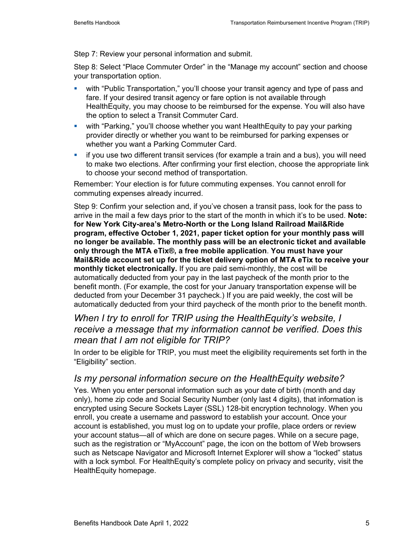Step 7: Review your personal information and submit.

Step 8: Select "Place Commuter Order" in the "Manage my account" section and choose your transportation option.

- with "Public Transportation," you'll choose your transit agency and type of pass and fare. If your desired transit agency or fare option is not available through HealthEquity, you may choose to be reimbursed for the expense. You will also have the option to select a Transit Commuter Card.
- with "Parking," you'll choose whether you want HealthEquity to pay your parking provider directly or whether you want to be reimbursed for parking expenses or whether you want a Parking Commuter Card.
- if you use two different transit services (for example a train and a bus), you will need to make two elections. After confirming your first election, choose the appropriate link to choose your second method of transportation.

Remember: Your election is for future commuting expenses. You cannot enroll for commuting expenses already incurred.

Step 9: Confirm your selection and, if you've chosen a transit pass, look for the pass to arrive in the mail a few days prior to the start of the month in which it's to be used. **Note: for New York City-area's Metro-North or the Long Island Railroad Mail&Ride program, effective October 1, 2021, paper ticket option for your monthly pass will no longer be available. The monthly pass will be an electronic ticket and available only through the MTA eTix®, a free mobile application**. **You must have your Mail&Ride account set up for the ticket delivery option of MTA eTix to receive your monthly ticket electronically.** If you are paid semi-monthly, the cost will be automatically deducted from your pay in the last paycheck of the month prior to the benefit month. (For example, the cost for your January transportation expense will be deducted from your December 31 paycheck.) If you are paid weekly, the cost will be automatically deducted from your third paycheck of the month prior to the benefit month.

#### *When I try to enroll for TRIP using the HealthEquity's website, I receive a message that my information cannot be verified. Does this mean that I am not eligible for TRIP?*

In order to be eligible for TRIP, you must meet the eligibility requirements set forth in the "Eligibility" section.

#### *Is my personal information secure on the HealthEquity website?*

Yes. When you enter personal information such as your date of birth (month and day only), home zip code and Social Security Number (only last 4 digits), that information is encrypted using Secure Sockets Layer (SSL) 128-bit encryption technology. When you enroll, you create a username and password to establish your account. Once your account is established, you must log on to update your profile, place orders or review your account status—all of which are done on secure pages. While on a secure page, such as the registration or "MyAccount" page, the icon on the bottom of Web browsers such as Netscape Navigator and Microsoft Internet Explorer will show a "locked" status with a lock symbol. For HealthEquity's complete policy on privacy and security, visit the HealthEquity homepage.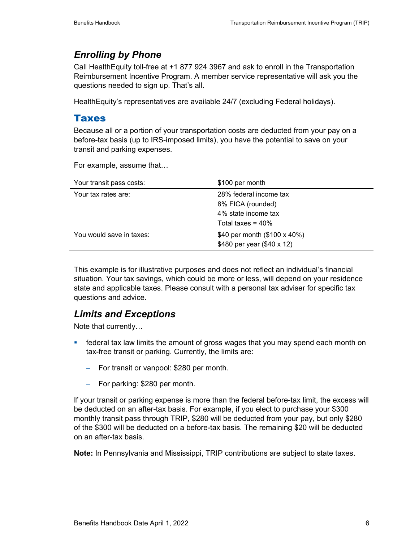## *Enrolling by Phone*

Call HealthEquity toll-free at +1 877 924 3967 and ask to enroll in the Transportation Reimbursement Incentive Program. A member service representative will ask you the questions needed to sign up. That's all.

HealthEquity's representatives are available 24/7 (excluding Federal holidays).

#### Taxes

Because all or a portion of your transportation costs are deducted from your pay on a before-tax basis (up to IRS-imposed limits), you have the potential to save on your transit and parking expenses.

For example, assume that…

| Your transit pass costs: | \$100 per month                                                                            |
|--------------------------|--------------------------------------------------------------------------------------------|
| Your tax rates are:      | 28% federal income tax<br>8% FICA (rounded)<br>4% state income tax<br>Total taxes = $40\%$ |
| You would save in taxes: | \$40 per month (\$100 x 40%)<br>\$480 per year (\$40 x 12)                                 |

This example is for illustrative purposes and does not reflect an individual's financial situation. Your tax savings, which could be more or less, will depend on your residence state and applicable taxes. Please consult with a personal tax adviser for specific tax questions and advice.

## *Limits and Exceptions*

Note that currently…

- **Famoral tax law limits the amount of gross wages that you may spend each month on** tax-free transit or parking. Currently, the limits are:
	- − For transit or vanpool: \$280 per month.
	- − For parking: \$280 per month.

If your transit or parking expense is more than the federal before-tax limit, the excess will be deducted on an after-tax basis. For example, if you elect to purchase your \$300 monthly transit pass through TRIP, \$280 will be deducted from your pay, but only \$280 of the \$300 will be deducted on a before-tax basis. The remaining \$20 will be deducted on an after-tax basis.

**Note:** In Pennsylvania and Mississippi, TRIP contributions are subject to state taxes.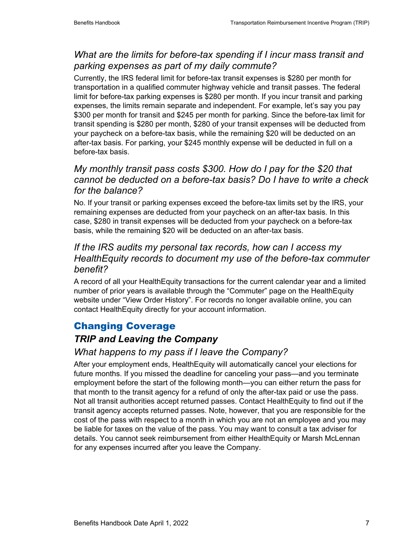## *What are the limits for before-tax spending if I incur mass transit and parking expenses as part of my daily commute?*

Currently, the IRS federal limit for before-tax transit expenses is \$280 per month for transportation in a qualified commuter highway vehicle and transit passes. The federal limit for before-tax parking expenses is \$280 per month. If you incur transit and parking expenses, the limits remain separate and independent. For example, let's say you pay \$300 per month for transit and \$245 per month for parking. Since the before-tax limit for transit spending is \$280 per month, \$280 of your transit expenses will be deducted from your paycheck on a before-tax basis, while the remaining \$20 will be deducted on an after-tax basis. For parking, your \$245 monthly expense will be deducted in full on a before-tax basis.

#### *My monthly transit pass costs \$300. How do I pay for the \$20 that cannot be deducted on a before-tax basis? Do I have to write a check for the balance?*

No. If your transit or parking expenses exceed the before-tax limits set by the IRS, your remaining expenses are deducted from your paycheck on an after-tax basis. In this case, \$280 in transit expenses will be deducted from your paycheck on a before-tax basis, while the remaining \$20 will be deducted on an after-tax basis.

#### *If the IRS audits my personal tax records, how can I access my HealthEquity records to document my use of the before-tax commuter benefit?*

A record of all your HealthEquity transactions for the current calendar year and a limited number of prior years is available through the "Commuter" page on the HealthEquity website under "View Order History". For records no longer available online, you can contact HealthEquity directly for your account information.

## Changing Coverage

## *TRIP and Leaving the Company*

## *What happens to my pass if I leave the Company?*

After your employment ends, HealthEquity will automatically cancel your elections for future months. If you missed the deadline for canceling your pass—and you terminate employment before the start of the following month—you can either return the pass for that month to the transit agency for a refund of only the after-tax paid or use the pass. Not all transit authorities accept returned passes. Contact HealthEquity to find out if the transit agency accepts returned passes. Note, however, that you are responsible for the cost of the pass with respect to a month in which you are not an employee and you may be liable for taxes on the value of the pass. You may want to consult a tax adviser for details. You cannot seek reimbursement from either HealthEquity or Marsh McLennan for any expenses incurred after you leave the Company.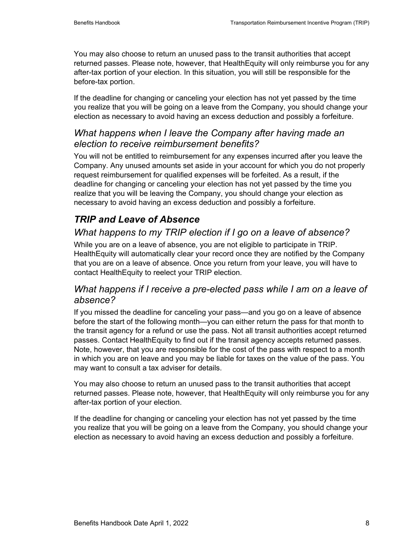You may also choose to return an unused pass to the transit authorities that accept returned passes. Please note, however, that HealthEquity will only reimburse you for any after-tax portion of your election. In this situation, you will still be responsible for the before-tax portion.

If the deadline for changing or canceling your election has not yet passed by the time you realize that you will be going on a leave from the Company, you should change your election as necessary to avoid having an excess deduction and possibly a forfeiture.

#### *What happens when I leave the Company after having made an election to receive reimbursement benefits?*

You will not be entitled to reimbursement for any expenses incurred after you leave the Company. Any unused amounts set aside in your account for which you do not properly request reimbursement for qualified expenses will be forfeited. As a result, if the deadline for changing or canceling your election has not yet passed by the time you realize that you will be leaving the Company, you should change your election as necessary to avoid having an excess deduction and possibly a forfeiture.

## *TRIP and Leave of Absence*

## *What happens to my TRIP election if I go on a leave of absence?*

While you are on a leave of absence, you are not eligible to participate in TRIP. HealthEquity will automatically clear your record once they are notified by the Company that you are on a leave of absence. Once you return from your leave, you will have to contact HealthEquity to reelect your TRIP election.

#### *What happens if I receive a pre-elected pass while I am on a leave of absence?*

If you missed the deadline for canceling your pass—and you go on a leave of absence before the start of the following month—you can either return the pass for that month to the transit agency for a refund or use the pass. Not all transit authorities accept returned passes. Contact HealthEquity to find out if the transit agency accepts returned passes. Note, however, that you are responsible for the cost of the pass with respect to a month in which you are on leave and you may be liable for taxes on the value of the pass. You may want to consult a tax adviser for details.

You may also choose to return an unused pass to the transit authorities that accept returned passes. Please note, however, that HealthEquity will only reimburse you for any after-tax portion of your election.

If the deadline for changing or canceling your election has not yet passed by the time you realize that you will be going on a leave from the Company, you should change your election as necessary to avoid having an excess deduction and possibly a forfeiture.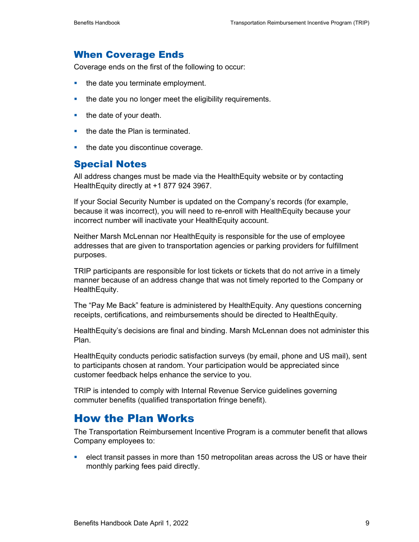#### When Coverage Ends

Coverage ends on the first of the following to occur:

- $\blacksquare$  the date you terminate employment.
- **the date you no longer meet the eligibility requirements.**
- $\blacksquare$  the date of your death.
- $\blacksquare$  the date the Plan is terminated.
- $\blacksquare$  the date you discontinue coverage.

#### Special Notes

All address changes must be made via the HealthEquity website or by contacting HealthEquity directly at +1 877 924 3967.

If your Social Security Number is updated on the Company's records (for example, because it was incorrect), you will need to re-enroll with HealthEquity because your incorrect number will inactivate your HealthEquity account.

Neither Marsh McLennan nor HealthEquity is responsible for the use of employee addresses that are given to transportation agencies or parking providers for fulfillment purposes.

TRIP participants are responsible for lost tickets or tickets that do not arrive in a timely manner because of an address change that was not timely reported to the Company or HealthEquity.

The "Pay Me Back" feature is administered by HealthEquity. Any questions concerning receipts, certifications, and reimbursements should be directed to HealthEquity.

HealthEquity's decisions are final and binding. Marsh McLennan does not administer this Plan.

HealthEquity conducts periodic satisfaction surveys (by email, phone and US mail), sent to participants chosen at random. Your participation would be appreciated since customer feedback helps enhance the service to you.

TRIP is intended to comply with Internal Revenue Service guidelines governing commuter benefits (qualified transportation fringe benefit).

## How the Plan Works

The Transportation Reimbursement Incentive Program is a commuter benefit that allows Company employees to:

 elect transit passes in more than 150 metropolitan areas across the US or have their monthly parking fees paid directly.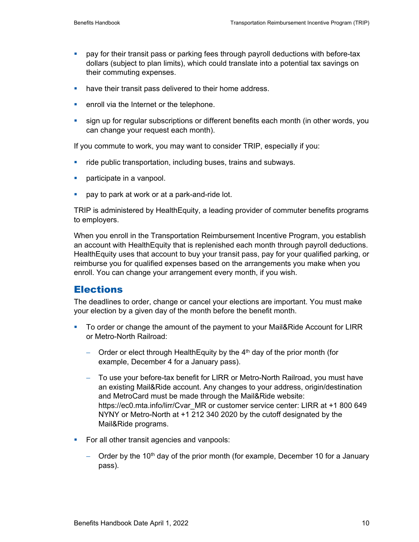- pay for their transit pass or parking fees through payroll deductions with before-tax dollars (subject to plan limits), which could translate into a potential tax savings on their commuting expenses.
- have their transit pass delivered to their home address.
- **EXEC** enroll via the Internet or the telephone.
- **sign up for regular subscriptions or different benefits each month (in other words, you** can change your request each month).

If you commute to work, you may want to consider TRIP, especially if you:

- ride public transportation, including buses, trains and subways.
- **participate in a vanpool.**
- **pay to park at work or at a park-and-ride lot.**

TRIP is administered by HealthEquity, a leading provider of commuter benefits programs to employers.

When you enroll in the Transportation Reimbursement Incentive Program, you establish an account with HealthEquity that is replenished each month through payroll deductions. HealthEquity uses that account to buy your transit pass, pay for your qualified parking, or reimburse you for qualified expenses based on the arrangements you make when you enroll. You can change your arrangement every month, if you wish.

#### **Elections**

The deadlines to order, change or cancel your elections are important. You must make your election by a given day of the month before the benefit month.

- To order or change the amount of the payment to your Mail&Ride Account for LIRR or Metro-North Railroad:
	- − Order or elect through HealthEquity by the 4<sup>th</sup> day of the prior month (for example, December 4 for a January pass).
	- − To use your before-tax benefit for LIRR or Metro-North Railroad, you must have an existing Mail&Ride account. Any changes to your address, origin/destination and MetroCard must be made through the Mail&Ride website: https://ec0.mta.info/lirr/Cvar\_MR or customer service center: LIRR at +1 800 649 NYNY or Metro-North at +1 212 340 2020 by the cutoff designated by the Mail&Ride programs.
- For all other transit agencies and vanpools:
	- − Order by the 10<sup>th</sup> day of the prior month (for example, December 10 for a January pass).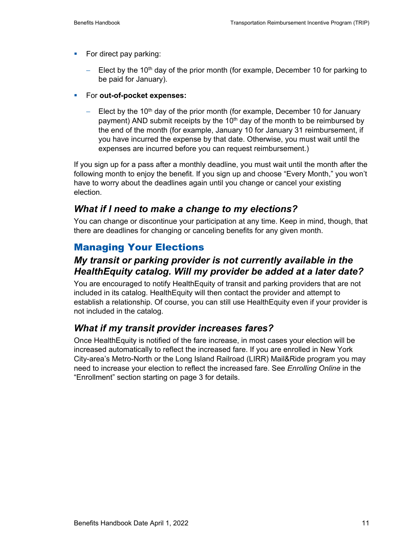- $\blacksquare$  For direct pay parking:
	- Elect by the 10<sup>th</sup> day of the prior month (for example, December 10 for parking to be paid for January).
- For **out-of-pocket expenses:**
	- − Elect by the 10<sup>th</sup> day of the prior month (for example, December 10 for January payment) AND submit receipts by the 10<sup>th</sup> day of the month to be reimbursed by the end of the month (for example, January 10 for January 31 reimbursement, if you have incurred the expense by that date. Otherwise, you must wait until the expenses are incurred before you can request reimbursement.)

If you sign up for a pass after a monthly deadline, you must wait until the month after the following month to enjoy the benefit. If you sign up and choose "Every Month," you won't have to worry about the deadlines again until you change or cancel your existing election.

#### *What if I need to make a change to my elections?*

You can change or discontinue your participation at any time. Keep in mind, though, that there are deadlines for changing or canceling benefits for any given month.

## Managing Your Elections

#### *My transit or parking provider is not currently available in the HealthEquity catalog. Will my provider be added at a later date?*

You are encouraged to notify HealthEquity of transit and parking providers that are not included in its catalog. HealthEquity will then contact the provider and attempt to establish a relationship. Of course, you can still use HealthEquity even if your provider is not included in the catalog.

## *What if my transit provider increases fares?*

Once HealthEquity is notified of the fare increase, in most cases your election will be increased automatically to reflect the increased fare. If you are enrolled in New York City-area's Metro-North or the Long Island Railroad (LIRR) Mail&Ride program you may need to increase your election to reflect the increased fare. See *Enrolling Online* in the "Enrollment" section starting on page 3 for details.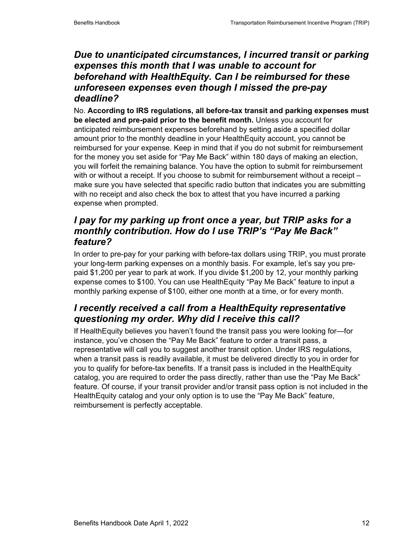#### *Due to unanticipated circumstances, I incurred transit or parking expenses this month that I was unable to account for beforehand with HealthEquity. Can I be reimbursed for these unforeseen expenses even though I missed the pre-pay deadline?*

No. **According to IRS regulations, all before-tax transit and parking expenses must be elected and pre-paid prior to the benefit month.** Unless you account for anticipated reimbursement expenses beforehand by setting aside a specified dollar amount prior to the monthly deadline in your HealthEquity account, you cannot be reimbursed for your expense. Keep in mind that if you do not submit for reimbursement for the money you set aside for "Pay Me Back" within 180 days of making an election, you will forfeit the remaining balance. You have the option to submit for reimbursement with or without a receipt. If you choose to submit for reimbursement without a receipt make sure you have selected that specific radio button that indicates you are submitting with no receipt and also check the box to attest that you have incurred a parking expense when prompted.

## *I pay for my parking up front once a year, but TRIP asks for a monthly contribution. How do I use TRIP's "Pay Me Back" feature?*

In order to pre-pay for your parking with before-tax dollars using TRIP, you must prorate your long-term parking expenses on a monthly basis. For example, let's say you prepaid \$1,200 per year to park at work. If you divide \$1,200 by 12, your monthly parking expense comes to \$100. You can use HealthEquity "Pay Me Back" feature to input a monthly parking expense of \$100, either one month at a time, or for every month.

## *I recently received a call from a HealthEquity representative questioning my order. Why did I receive this call?*

If HealthEquity believes you haven't found the transit pass you were looking for—for instance, you've chosen the "Pay Me Back" feature to order a transit pass, a representative will call you to suggest another transit option. Under IRS regulations, when a transit pass is readily available, it must be delivered directly to you in order for you to qualify for before-tax benefits. If a transit pass is included in the HealthEquity catalog, you are required to order the pass directly, rather than use the "Pay Me Back" feature. Of course, if your transit provider and/or transit pass option is not included in the HealthEquity catalog and your only option is to use the "Pay Me Back" feature, reimbursement is perfectly acceptable.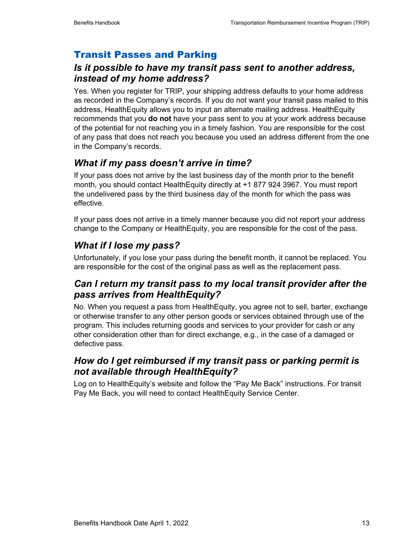## Transit Passes and Parking

#### *Is it possible to have my transit pass sent to another address, instead of my home address?*

Yes. When you register for TRIP, your shipping address defaults to your home address as recorded in the Company's records. If you do not want your transit pass mailed to this address, HealthEquity allows you to input an alternate mailing address. HealthEquity recommends that you **do not** have your pass sent to you at your work address because of the potential for not reaching you in a timely fashion. You are responsible for the cost of any pass that does not reach you because you used an address different from the one in the Company's records.

## *What if my pass doesn't arrive in time?*

If your pass does not arrive by the last business day of the month prior to the benefit month, you should contact HealthEquity directly at +1 877 924 3967. You must report the undelivered pass by the third business day of the month for which the pass was effective.

If your pass does not arrive in a timely manner because you did not report your address change to the Company or HealthEquity, you are responsible for the cost of the pass.

## *What if I lose my pass?*

Unfortunately, if you lose your pass during the benefit month, it cannot be replaced. You are responsible for the cost of the original pass as well as the replacement pass.

## *Can I return my transit pass to my local transit provider after the pass arrives from HealthEquity?*

No. When you request a pass from HealthEquity, you agree not to sell, barter, exchange or otherwise transfer to any other person goods or services obtained through use of the program. This includes returning goods and services to your provider for cash or any other consideration other than for direct exchange, e.g., in the case of a damaged or defective pass.

## *How do I get reimbursed if my transit pass or parking permit is not available through HealthEquity?*

Log on to HealthEquity's website and follow the "Pay Me Back" instructions. For transit Pay Me Back, you will need to contact HealthEquity Service Center.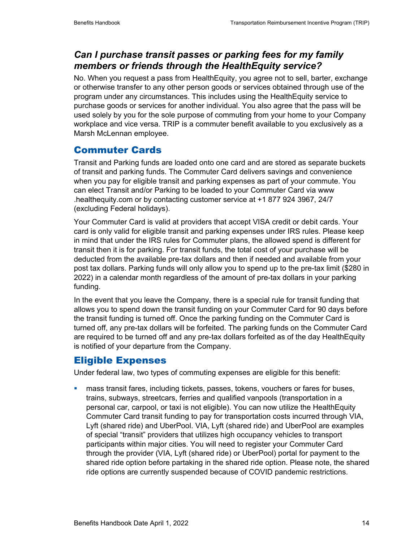## *Can I purchase transit passes or parking fees for my family members or friends through the HealthEquity service?*

No. When you request a pass from HealthEquity, you agree not to sell, barter, exchange or otherwise transfer to any other person goods or services obtained through use of the program under any circumstances. This includes using the HealthEquity service to purchase goods or services for another individual. You also agree that the pass will be used solely by you for the sole purpose of commuting from your home to your Company workplace and vice versa. TRIP is a commuter benefit available to you exclusively as a Marsh McLennan employee.

## Commuter Cards

Transit and Parking funds are loaded onto one card and are stored as separate buckets of transit and parking funds. The Commuter Card delivers savings and convenience when you pay for eligible transit and parking expenses as part of your commute. You can elect Transit and/or Parking to be loaded to your Commuter Card via www .healthequity.com or by contacting customer service at +1 877 924 3967, 24/7 (excluding Federal holidays).

Your Commuter Card is valid at providers that accept VISA credit or debit cards. Your card is only valid for eligible transit and parking expenses under IRS rules. Please keep in mind that under the IRS rules for Commuter plans, the allowed spend is different for transit then it is for parking. For transit funds, the total cost of your purchase will be deducted from the available pre-tax dollars and then if needed and available from your post tax dollars. Parking funds will only allow you to spend up to the pre-tax limit (\$280 in 2022) in a calendar month regardless of the amount of pre-tax dollars in your parking funding.

In the event that you leave the Company, there is a special rule for transit funding that allows you to spend down the transit funding on your Commuter Card for 90 days before the transit funding is turned off. Once the parking funding on the Commuter Card is turned off, any pre-tax dollars will be forfeited. The parking funds on the Commuter Card are required to be turned off and any pre-tax dollars forfeited as of the day HealthEquity is notified of your departure from the Company.

#### Eligible Expenses

Under federal law, two types of commuting expenses are eligible for this benefit:

 mass transit fares, including tickets, passes, tokens, vouchers or fares for buses, trains, subways, streetcars, ferries and qualified vanpools (transportation in a personal car, carpool, or taxi is not eligible). You can now utilize the HealthEquity Commuter Card transit funding to pay for transportation costs incurred through VIA, Lyft (shared ride) and UberPool. VIA, Lyft (shared ride) and UberPool are examples of special "transit" providers that utilizes high occupancy vehicles to transport participants within major cities. You will need to register your Commuter Card through the provider (VIA, Lyft (shared ride) or UberPool) portal for payment to the shared ride option before partaking in the shared ride option. Please note, the shared ride options are currently suspended because of COVID pandemic restrictions.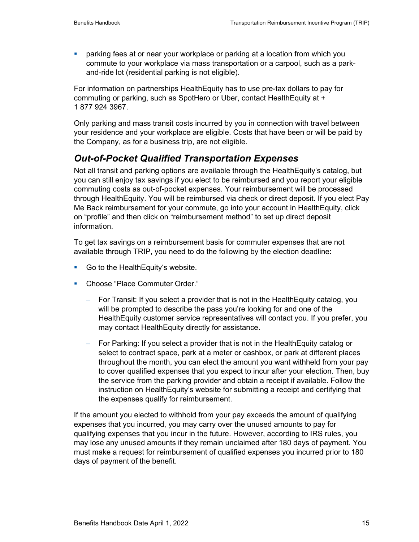parking fees at or near your workplace or parking at a location from which you commute to your workplace via mass transportation or a carpool, such as a parkand-ride lot (residential parking is not eligible).

For information on partnerships HealthEquity has to use pre-tax dollars to pay for commuting or parking, such as SpotHero or Uber, contact HealthEquity at + 1 877 924 3967.

Only parking and mass transit costs incurred by you in connection with travel between your residence and your workplace are eligible. Costs that have been or will be paid by the Company, as for a business trip, are not eligible.

## *Out-of-Pocket Qualified Transportation Expenses*

Not all transit and parking options are available through the HealthEquity's catalog, but you can still enjoy tax savings if you elect to be reimbursed and you report your eligible commuting costs as out-of-pocket expenses. Your reimbursement will be processed through HealthEquity. You will be reimbursed via check or direct deposit. If you elect Pay Me Back reimbursement for your commute, go into your account in HealthEquity, click on "profile" and then click on "reimbursement method" to set up direct deposit information.

To get tax savings on a reimbursement basis for commuter expenses that are not available through TRIP, you need to do the following by the election deadline:

- Go to the Health Equity's website.
- **E** Choose "Place Commuter Order."
	- − For Transit: If you select a provider that is not in the HealthEquity catalog, you will be prompted to describe the pass you're looking for and one of the HealthEquity customer service representatives will contact you. If you prefer, you may contact HealthEquity directly for assistance.
	- − For Parking: If you select a provider that is not in the HealthEquity catalog or select to contract space, park at a meter or cashbox, or park at different places throughout the month, you can elect the amount you want withheld from your pay to cover qualified expenses that you expect to incur after your election. Then, buy the service from the parking provider and obtain a receipt if available. Follow the instruction on HealthEquity's website for submitting a receipt and certifying that the expenses qualify for reimbursement.

If the amount you elected to withhold from your pay exceeds the amount of qualifying expenses that you incurred, you may carry over the unused amounts to pay for qualifying expenses that you incur in the future. However, according to IRS rules, you may lose any unused amounts if they remain unclaimed after 180 days of payment. You must make a request for reimbursement of qualified expenses you incurred prior to 180 days of payment of the benefit.